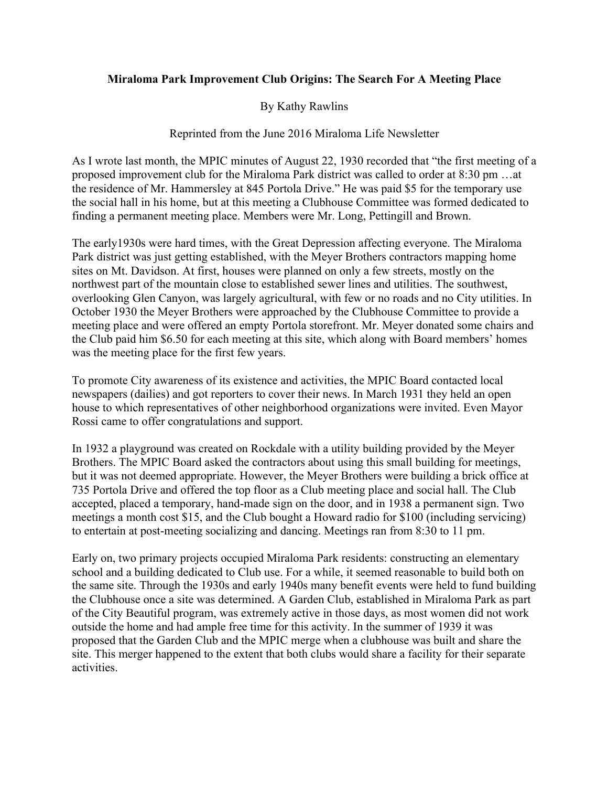## **Miraloma Park Improvement Club Origins: The Search For A Meeting Place**

## By Kathy Rawlins

## Reprinted from the June 2016 Miraloma Life Newsletter

As I wrote last month, the MPIC minutes of August 22, 1930 recorded that "the first meeting of a proposed improvement club for the Miraloma Park district was called to order at 8:30 pm …at the residence of Mr. Hammersley at 845 Portola Drive." He was paid \$5 for the temporary use the social hall in his home, but at this meeting a Clubhouse Committee was formed dedicated to finding a permanent meeting place. Members were Mr. Long, Pettingill and Brown.

The early1930s were hard times, with the Great Depression affecting everyone. The Miraloma Park district was just getting established, with the Meyer Brothers contractors mapping home sites on Mt. Davidson. At first, houses were planned on only a few streets, mostly on the northwest part of the mountain close to established sewer lines and utilities. The southwest, overlooking Glen Canyon, was largely agricultural, with few or no roads and no City utilities. In October 1930 the Meyer Brothers were approached by the Clubhouse Committee to provide a meeting place and were offered an empty Portola storefront. Mr. Meyer donated some chairs and the Club paid him \$6.50 for each meeting at this site, which along with Board members' homes was the meeting place for the first few years.

To promote City awareness of its existence and activities, the MPIC Board contacted local newspapers (dailies) and got reporters to cover their news. In March 1931 they held an open house to which representatives of other neighborhood organizations were invited. Even Mayor Rossi came to offer congratulations and support.

In 1932 a playground was created on Rockdale with a utility building provided by the Meyer Brothers. The MPIC Board asked the contractors about using this small building for meetings, but it was not deemed appropriate. However, the Meyer Brothers were building a brick office at 735 Portola Drive and offered the top floor as a Club meeting place and social hall. The Club accepted, placed a temporary, hand-made sign on the door, and in 1938 a permanent sign. Two meetings a month cost \$15, and the Club bought a Howard radio for \$100 (including servicing) to entertain at post-meeting socializing and dancing. Meetings ran from 8:30 to 11 pm.

Early on, two primary projects occupied Miraloma Park residents: constructing an elementary school and a building dedicated to Club use. For a while, it seemed reasonable to build both on the same site. Through the 1930s and early 1940s many benefit events were held to fund building the Clubhouse once a site was determined. A Garden Club, established in Miraloma Park as part of the City Beautiful program, was extremely active in those days, as most women did not work outside the home and had ample free time for this activity. In the summer of 1939 it was proposed that the Garden Club and the MPIC merge when a clubhouse was built and share the site. This merger happened to the extent that both clubs would share a facility for their separate activities.